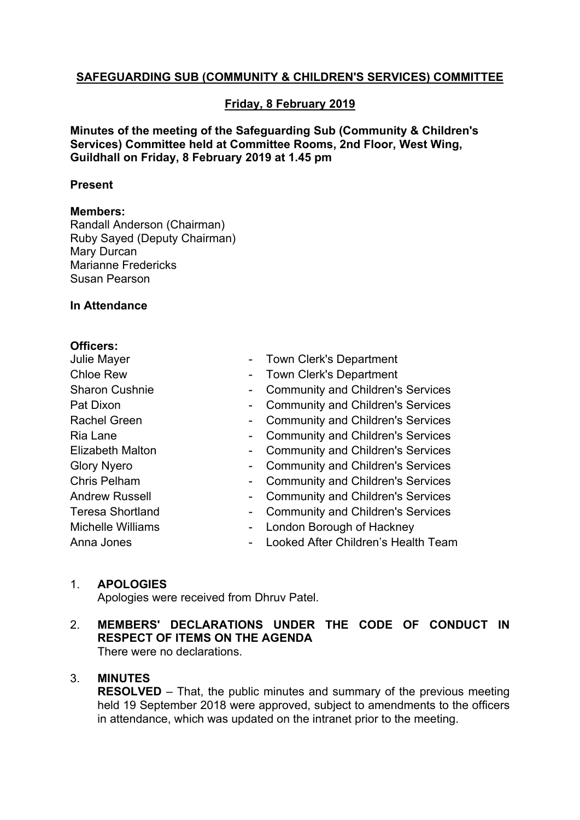# **SAFEGUARDING SUB (COMMUNITY & CHILDREN'S SERVICES) COMMITTEE**

# **Friday, 8 February 2019**

**Minutes of the meeting of the Safeguarding Sub (Community & Children's Services) Committee held at Committee Rooms, 2nd Floor, West Wing, Guildhall on Friday, 8 February 2019 at 1.45 pm**

#### **Present**

#### **Members:**

Randall Anderson (Chairman) Ruby Sayed (Deputy Chairman) Mary Durcan Marianne Fredericks Susan Pearson

#### **In Attendance**

#### **Officers:**

| Julie Mayer              |   | <b>Town Clerk's Department</b>           |
|--------------------------|---|------------------------------------------|
| <b>Chloe Rew</b>         | - | <b>Town Clerk's Department</b>           |
| <b>Sharon Cushnie</b>    |   | <b>Community and Children's Services</b> |
| Pat Dixon                |   | <b>Community and Children's Services</b> |
| Rachel Green             |   | <b>Community and Children's Services</b> |
| Ria Lane                 |   | <b>Community and Children's Services</b> |
| <b>Elizabeth Malton</b>  | - | <b>Community and Children's Services</b> |
| <b>Glory Nyero</b>       |   | <b>Community and Children's Services</b> |
| Chris Pelham             | - | <b>Community and Children's Services</b> |
| <b>Andrew Russell</b>    |   | <b>Community and Children's Services</b> |
| <b>Teresa Shortland</b>  |   | <b>Community and Children's Services</b> |
| <b>Michelle Williams</b> | - | London Borough of Hackney                |
| Anna Jones               |   | Looked After Children's Health Team      |
|                          |   |                                          |

## 1. **APOLOGIES**

Apologies were received from Dhruv Patel.

# 2. **MEMBERS' DECLARATIONS UNDER THE CODE OF CONDUCT IN RESPECT OF ITEMS ON THE AGENDA**

There were no declarations.

## 3. **MINUTES**

**RESOLVED** – That, the public minutes and summary of the previous meeting held 19 September 2018 were approved, subject to amendments to the officers in attendance, which was updated on the intranet prior to the meeting.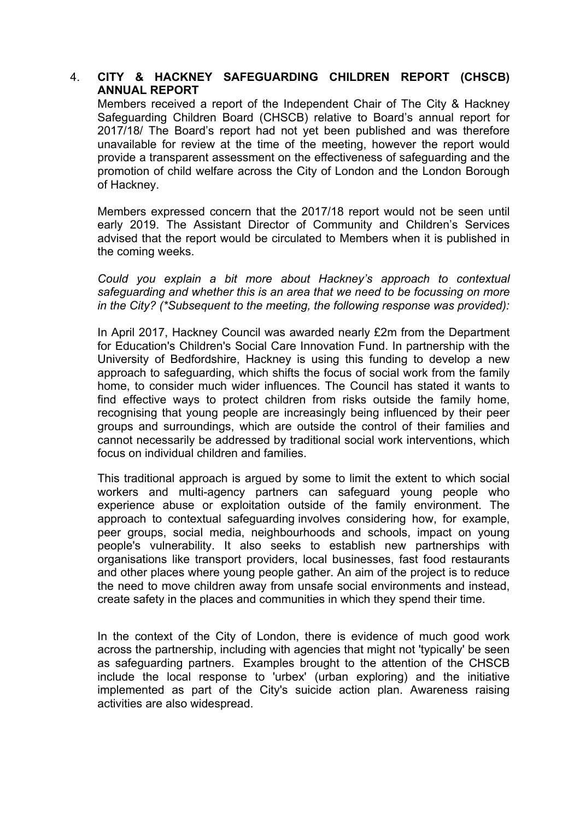# 4. **CITY & HACKNEY SAFEGUARDING CHILDREN REPORT (CHSCB) ANNUAL REPORT**

Members received a report of the Independent Chair of The City & Hackney Safeguarding Children Board (CHSCB) relative to Board's annual report for 2017/18/ The Board's report had not yet been published and was therefore unavailable for review at the time of the meeting, however the report would provide a transparent assessment on the effectiveness of safeguarding and the promotion of child welfare across the City of London and the London Borough of Hackney.

Members expressed concern that the 2017/18 report would not be seen until early 2019. The Assistant Director of Community and Children's Services advised that the report would be circulated to Members when it is published in the coming weeks.

*Could you explain a bit more about Hackney's approach to contextual safeguarding and whether this is an area that we need to be focussing on more in the City? (\*Subsequent to the meeting, the following response was provided):*

In April 2017, Hackney Council was awarded nearly £2m from the Department for Education's Children's Social Care Innovation Fund. In partnership with the University of Bedfordshire, Hackney is using this funding to develop a new approach to safeguarding, which shifts the focus of social work from the family home, to consider much wider influences. The Council has stated it wants to find effective ways to protect children from risks outside the family home, recognising that young people are increasingly being influenced by their peer groups and surroundings, which are outside the control of their families and cannot necessarily be addressed by traditional social work interventions, which focus on individual children and families.

This traditional approach is argued by some to limit the extent to which social workers and multi-agency partners can safeguard young people who experience abuse or exploitation outside of the family environment. The approach to contextual safeguarding involves considering how, for example, peer groups, social media, neighbourhoods and schools, impact on young people's vulnerability. It also seeks to establish new partnerships with organisations like transport providers, local businesses, fast food restaurants and other places where young people gather. An aim of the project is to reduce the need to move children away from unsafe social environments and instead, create safety in the places and communities in which they spend their time.

In the context of the City of London, there is evidence of much good work across the partnership, including with agencies that might not 'typically' be seen as safeguarding partners. Examples brought to the attention of the CHSCB include the local response to 'urbex' (urban exploring) and the initiative implemented as part of the City's suicide action plan. Awareness raising activities are also widespread.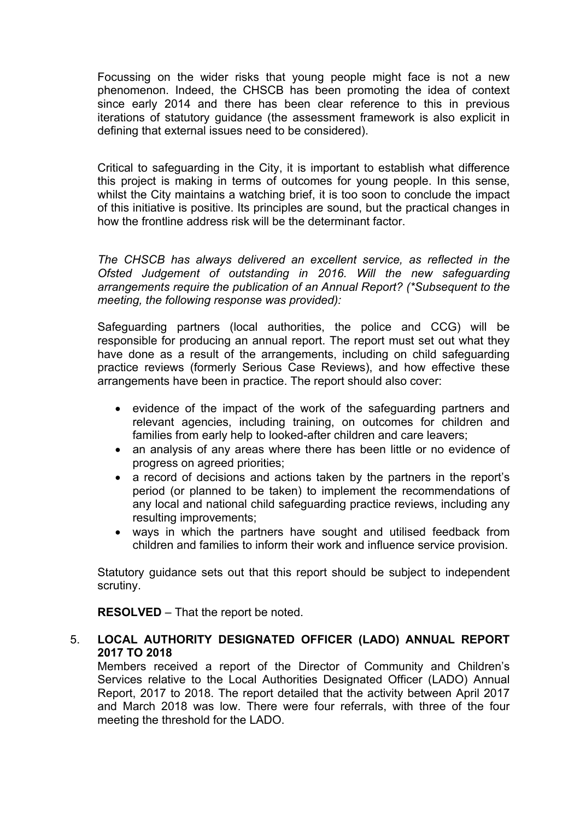Focussing on the wider risks that young people might face is not a new phenomenon. Indeed, the CHSCB has been promoting the idea of context since early 2014 and there has been clear reference to this in previous iterations of statutory guidance (the assessment framework is also explicit in defining that external issues need to be considered).

Critical to safeguarding in the City, it is important to establish what difference this project is making in terms of outcomes for young people. In this sense, whilst the City maintains a watching brief, it is too soon to conclude the impact of this initiative is positive. Its principles are sound, but the practical changes in how the frontline address risk will be the determinant factor.

*The CHSCB has always delivered an excellent service, as reflected in the Ofsted Judgement of outstanding in 2016. Will the new safeguarding arrangements require the publication of an Annual Report? (\*Subsequent to the meeting, the following response was provided):*

Safeguarding partners (local authorities, the police and CCG) will be responsible for producing an annual report. The report must set out what they have done as a result of the arrangements, including on child safeguarding practice reviews (formerly Serious Case Reviews), and how effective these arrangements have been in practice. The report should also cover:

- evidence of the impact of the work of the safeguarding partners and relevant agencies, including training, on outcomes for children and families from early help to looked-after children and care leavers;
- an analysis of any areas where there has been little or no evidence of progress on agreed priorities;
- a record of decisions and actions taken by the partners in the report's period (or planned to be taken) to implement the recommendations of any local and national child safeguarding practice reviews, including any resulting improvements;
- ways in which the partners have sought and utilised feedback from children and families to inform their work and influence service provision.

Statutory guidance sets out that this report should be subject to independent scrutiny.

**RESOLVED** – That the report be noted.

# 5. **LOCAL AUTHORITY DESIGNATED OFFICER (LADO) ANNUAL REPORT 2017 TO 2018**

Members received a report of the Director of Community and Children's Services relative to the Local Authorities Designated Officer (LADO) Annual Report, 2017 to 2018. The report detailed that the activity between April 2017 and March 2018 was low. There were four referrals, with three of the four meeting the threshold for the LADO.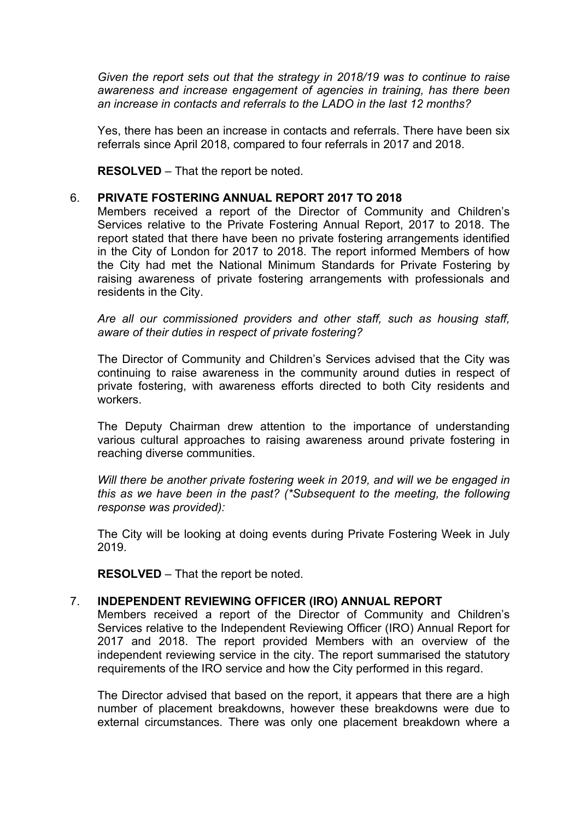*Given the report sets out that the strategy in 2018/19 was to continue to raise awareness and increase engagement of agencies in training, has there been an increase in contacts and referrals to the LADO in the last 12 months?*

Yes, there has been an increase in contacts and referrals. There have been six referrals since April 2018, compared to four referrals in 2017 and 2018.

**RESOLVED** – That the report be noted.

#### 6. **PRIVATE FOSTERING ANNUAL REPORT 2017 TO 2018**

Members received a report of the Director of Community and Children's Services relative to the Private Fostering Annual Report, 2017 to 2018. The report stated that there have been no private fostering arrangements identified in the City of London for 2017 to 2018. The report informed Members of how the City had met the National Minimum Standards for Private Fostering by raising awareness of private fostering arrangements with professionals and residents in the City.

*Are all our commissioned providers and other staff, such as housing staff, aware of their duties in respect of private fostering?*

The Director of Community and Children's Services advised that the City was continuing to raise awareness in the community around duties in respect of private fostering, with awareness efforts directed to both City residents and workers.

The Deputy Chairman drew attention to the importance of understanding various cultural approaches to raising awareness around private fostering in reaching diverse communities.

*Will there be another private fostering week in 2019, and will we be engaged in this as we have been in the past? (\*Subsequent to the meeting, the following response was provided):*

The City will be looking at doing events during Private Fostering Week in July 2019.

**RESOLVED** – That the report be noted.

## 7. **INDEPENDENT REVIEWING OFFICER (IRO) ANNUAL REPORT**

Members received a report of the Director of Community and Children's Services relative to the Independent Reviewing Officer (IRO) Annual Report for 2017 and 2018. The report provided Members with an overview of the independent reviewing service in the city. The report summarised the statutory requirements of the IRO service and how the City performed in this regard.

The Director advised that based on the report, it appears that there are a high number of placement breakdowns, however these breakdowns were due to external circumstances. There was only one placement breakdown where a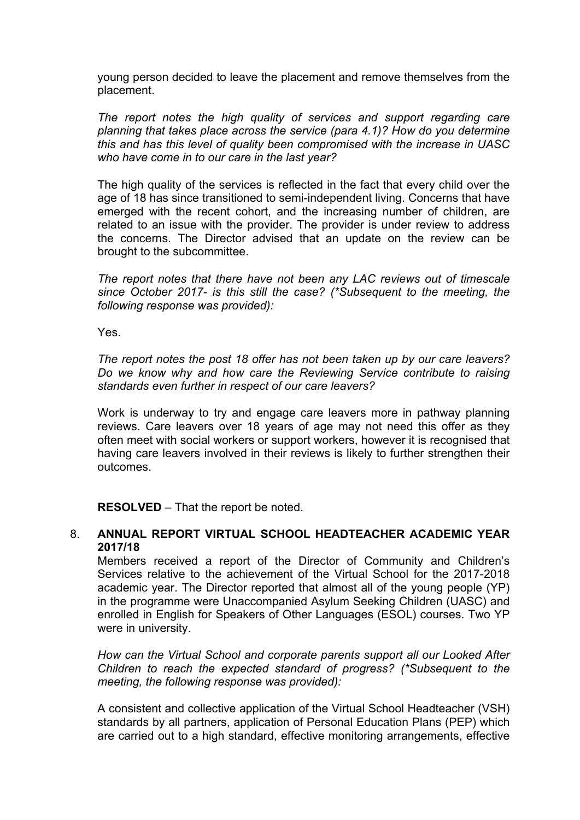young person decided to leave the placement and remove themselves from the placement.

*The report notes the high quality of services and support regarding care planning that takes place across the service (para 4.1)? How do you determine this and has this level of quality been compromised with the increase in UASC who have come in to our care in the last year?*

The high quality of the services is reflected in the fact that every child over the age of 18 has since transitioned to semi-independent living. Concerns that have emerged with the recent cohort, and the increasing number of children, are related to an issue with the provider. The provider is under review to address the concerns. The Director advised that an update on the review can be brought to the subcommittee.

*The report notes that there have not been any LAC reviews out of timescale since October 2017- is this still the case? (\*Subsequent to the meeting, the following response was provided):*

Yes.

*The report notes the post 18 offer has not been taken up by our care leavers? Do we know why and how care the Reviewing Service contribute to raising standards even further in respect of our care leavers?*

Work is underway to try and engage care leavers more in pathway planning reviews. Care leavers over 18 years of age may not need this offer as they often meet with social workers or support workers, however it is recognised that having care leavers involved in their reviews is likely to further strengthen their outcomes.

**RESOLVED** – That the report be noted.

## 8. **ANNUAL REPORT VIRTUAL SCHOOL HEADTEACHER ACADEMIC YEAR 2017/18**

Members received a report of the Director of Community and Children's Services relative to the achievement of the Virtual School for the 2017-2018 academic year. The Director reported that almost all of the young people (YP) in the programme were Unaccompanied Asylum Seeking Children (UASC) and enrolled in English for Speakers of Other Languages (ESOL) courses. Two YP were in university.

*How can the Virtual School and corporate parents support all our Looked After Children to reach the expected standard of progress? (\*Subsequent to the meeting, the following response was provided):*

A consistent and collective application of the Virtual School Headteacher (VSH) standards by all partners, application of Personal Education Plans (PEP) which are carried out to a high standard, effective monitoring arrangements, effective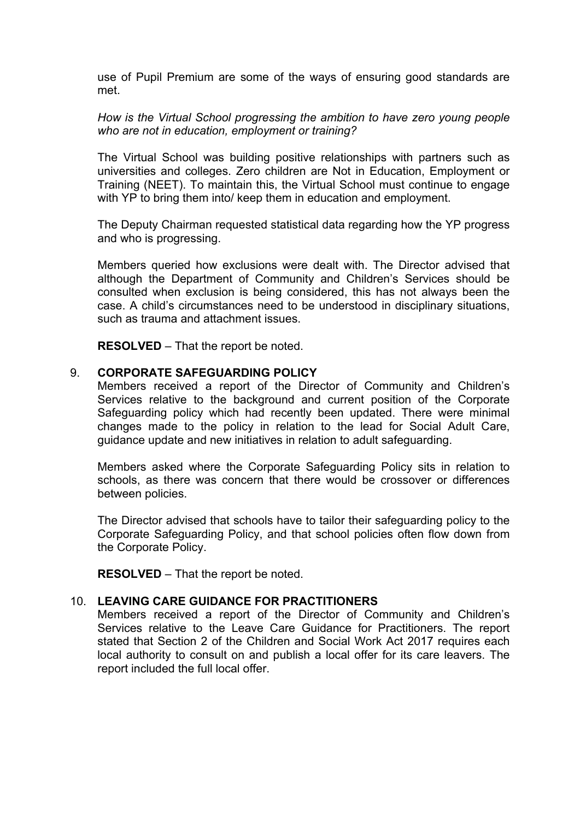use of Pupil Premium are some of the ways of ensuring good standards are met.

*How is the Virtual School progressing the ambition to have zero young people who are not in education, employment or training?*

The Virtual School was building positive relationships with partners such as universities and colleges. Zero children are Not in Education, Employment or Training (NEET). To maintain this, the Virtual School must continue to engage with YP to bring them into/ keep them in education and employment.

The Deputy Chairman requested statistical data regarding how the YP progress and who is progressing.

Members queried how exclusions were dealt with. The Director advised that although the Department of Community and Children's Services should be consulted when exclusion is being considered, this has not always been the case. A child's circumstances need to be understood in disciplinary situations, such as trauma and attachment issues.

**RESOLVED** – That the report be noted.

#### 9. **CORPORATE SAFEGUARDING POLICY**

Members received a report of the Director of Community and Children's Services relative to the background and current position of the Corporate Safeguarding policy which had recently been updated. There were minimal changes made to the policy in relation to the lead for Social Adult Care, guidance update and new initiatives in relation to adult safeguarding.

Members asked where the Corporate Safeguarding Policy sits in relation to schools, as there was concern that there would be crossover or differences between policies.

The Director advised that schools have to tailor their safeguarding policy to the Corporate Safeguarding Policy, and that school policies often flow down from the Corporate Policy.

**RESOLVED** – That the report be noted.

## 10. **LEAVING CARE GUIDANCE FOR PRACTITIONERS**

Members received a report of the Director of Community and Children's Services relative to the Leave Care Guidance for Practitioners. The report stated that Section 2 of the Children and Social Work Act 2017 requires each local authority to consult on and publish a local offer for its care leavers. The report included the full local offer.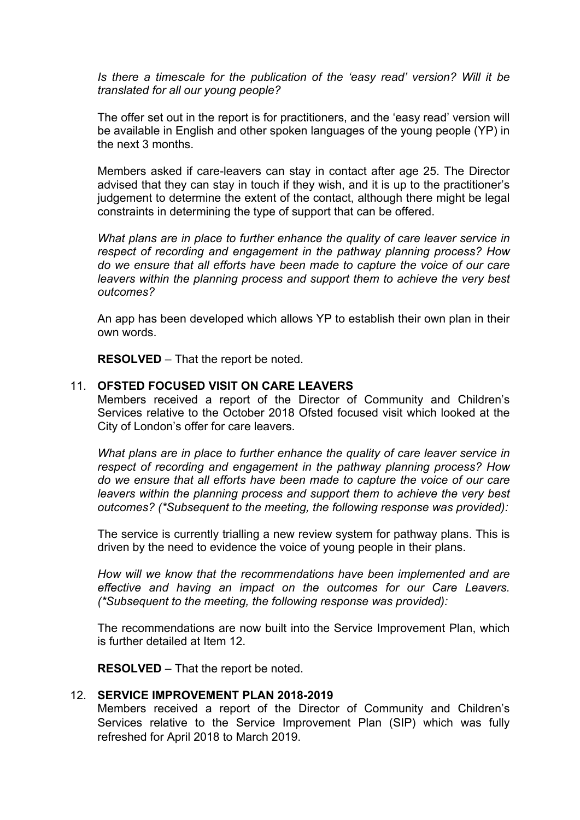*Is there a timescale for the publication of the 'easy read' version? Will it be translated for all our young people?*

The offer set out in the report is for practitioners, and the 'easy read' version will be available in English and other spoken languages of the young people (YP) in the next 3 months.

Members asked if care-leavers can stay in contact after age 25. The Director advised that they can stay in touch if they wish, and it is up to the practitioner's judgement to determine the extent of the contact, although there might be legal constraints in determining the type of support that can be offered.

*What plans are in place to further enhance the quality of care leaver service in respect of recording and engagement in the pathway planning process? How do we ensure that all efforts have been made to capture the voice of our care leavers within the planning process and support them to achieve the very best outcomes?*

An app has been developed which allows YP to establish their own plan in their own words.

**RESOLVED** – That the report be noted.

#### 11. **OFSTED FOCUSED VISIT ON CARE LEAVERS**

Members received a report of the Director of Community and Children's Services relative to the October 2018 Ofsted focused visit which looked at the City of London's offer for care leavers.

*What plans are in place to further enhance the quality of care leaver service in respect of recording and engagement in the pathway planning process? How do we ensure that all efforts have been made to capture the voice of our care leavers within the planning process and support them to achieve the very best outcomes? (\*Subsequent to the meeting, the following response was provided):*

The service is currently trialling a new review system for pathway plans. This is driven by the need to evidence the voice of young people in their plans.

*How will we know that the recommendations have been implemented and are effective and having an impact on the outcomes for our Care Leavers. (\*Subsequent to the meeting, the following response was provided):*

The recommendations are now built into the Service Improvement Plan, which is further detailed at Item 12.

**RESOLVED** – That the report be noted.

#### 12. **SERVICE IMPROVEMENT PLAN 2018-2019**

Members received a report of the Director of Community and Children's Services relative to the Service Improvement Plan (SIP) which was fully refreshed for April 2018 to March 2019.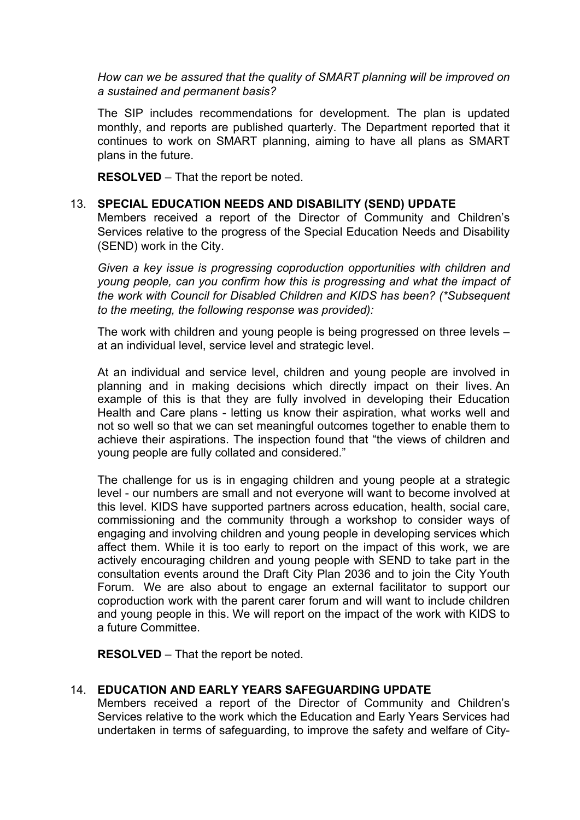*How can we be assured that the quality of SMART planning will be improved on a sustained and permanent basis?*

The SIP includes recommendations for development. The plan is updated monthly, and reports are published quarterly. The Department reported that it continues to work on SMART planning, aiming to have all plans as SMART plans in the future.

**RESOLVED** – That the report be noted.

#### 13. **SPECIAL EDUCATION NEEDS AND DISABILITY (SEND) UPDATE**

Members received a report of the Director of Community and Children's Services relative to the progress of the Special Education Needs and Disability (SEND) work in the City.

*Given a key issue is progressing coproduction opportunities with children and young people, can you confirm how this is progressing and what the impact of the work with Council for Disabled Children and KIDS has been? (\*Subsequent to the meeting, the following response was provided):*

The work with children and young people is being progressed on three levels – at an individual level, service level and strategic level.

At an individual and service level, children and young people are involved in planning and in making decisions which directly impact on their lives. An example of this is that they are fully involved in developing their Education Health and Care plans - letting us know their aspiration, what works well and not so well so that we can set meaningful outcomes together to enable them to achieve their aspirations. The inspection found that "the views of children and young people are fully collated and considered."

The challenge for us is in engaging children and young people at a strategic level - our numbers are small and not everyone will want to become involved at this level. KIDS have supported partners across education, health, social care, commissioning and the community through a workshop to consider ways of engaging and involving children and young people in developing services which affect them. While it is too early to report on the impact of this work, we are actively encouraging children and young people with SEND to take part in the consultation events around the Draft City Plan 2036 and to join the City Youth Forum. We are also about to engage an external facilitator to support our coproduction work with the parent carer forum and will want to include children and young people in this. We will report on the impact of the work with KIDS to a future Committee.

**RESOLVED** – That the report be noted.

## 14. **EDUCATION AND EARLY YEARS SAFEGUARDING UPDATE**

Members received a report of the Director of Community and Children's Services relative to the work which the Education and Early Years Services had undertaken in terms of safeguarding, to improve the safety and welfare of City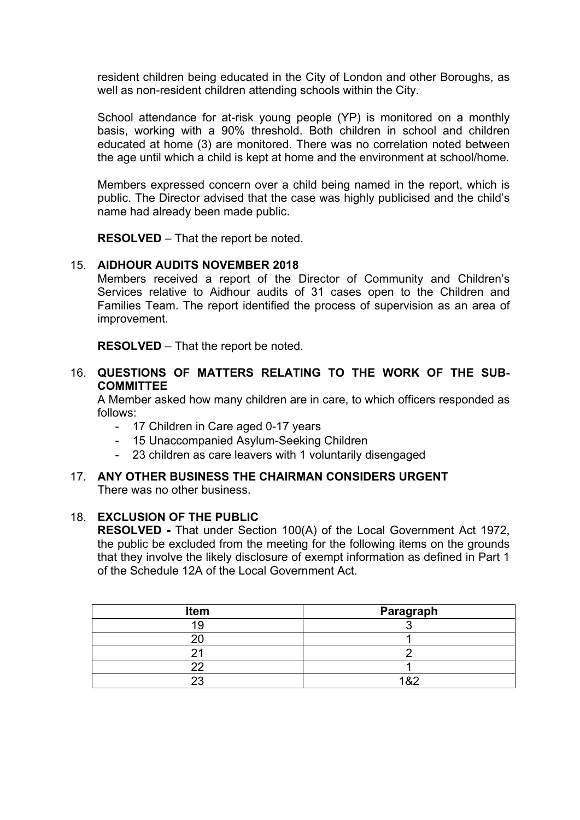resident children being educated in the City of London and other Boroughs, as well as non-resident children attending schools within the City.

School attendance for at-risk young people (YP) is monitored on a monthly basis, working with a 90% threshold. Both children in school and children educated at home (3) are monitored. There was no correlation noted between the age until which a child is kept at home and the environment at school/home.

Members expressed concern over a child being named in the report, which is public. The Director advised that the case was highly publicised and the child's name had already been made public.

**RESOLVED** – That the report be noted.

## 15. **AIDHOUR AUDITS NOVEMBER 2018**

Members received a report of the Director of Community and Children's Services relative to Aidhour audits of 31 cases open to the Children and Families Team. The report identified the process of supervision as an area of improvement.

**RESOLVED** – That the report be noted.

#### 16. **QUESTIONS OF MATTERS RELATING TO THE WORK OF THE SUB-COMMITTEE**

A Member asked how many children are in care, to which officers responded as follows:

- 17 Children in Care aged 0-17 years
- 15 Unaccompanied Asylum-Seeking Children
- 23 children as care leavers with 1 voluntarily disengaged

#### 17. **ANY OTHER BUSINESS THE CHAIRMAN CONSIDERS URGENT**

There was no other business.

## 18. **EXCLUSION OF THE PUBLIC**

**RESOLVED -** That under Section 100(A) of the Local Government Act 1972, the public be excluded from the meeting for the following items on the grounds that they involve the likely disclosure of exempt information as defined in Part 1 of the Schedule 12A of the Local Government Act.

| Item | Paragraph |
|------|-----------|
| 10   |           |
|      |           |
|      |           |
|      |           |
|      | .8.2      |